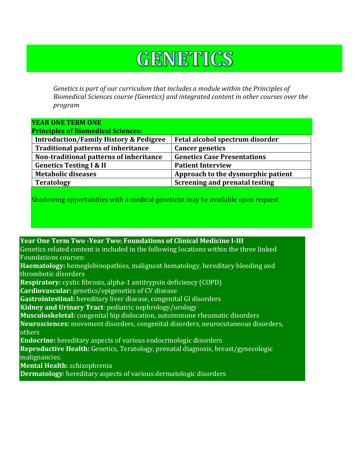## GENETICS

*Genetics is part of our curriculum that includes a module within the Principles of Biomedical Sciences course (Genetics) and integrated content in other courses over the program*

| <b>YEAR ONE TERM ONE</b>                          |                                       |
|---------------------------------------------------|---------------------------------------|
| <b>Principles of Biomedical Sciences:</b>         |                                       |
| <b>Introduction/Family History &amp; Pedigree</b> | Fetal alcohol spectrum disorder       |
| <b>Traditional patterns of inheritance</b>        | <b>Cancer genetics</b>                |
| Non-traditional patterns of inheritance           | <b>Genetics Case Presentations</b>    |
| <b>Genetics Testing I &amp; II</b>                | <b>Patient Interview</b>              |
| <b>Metabolic diseases</b>                         | Approach to the dysmorphic patient    |
| <b>Teratology</b>                                 | <b>Screening and prenatal testing</b> |
|                                                   |                                       |

Shadowing opportunities with a medical geneticist may be available upon request

**Year One Term Two -Year Two: Foundations of Clinical Medicine I-III** Genetics related content is included in the following locations within the three linked Foundations courses: **Haematology:** hemoglobinopathies, malignant hematology, hereditary bleeding and thrombotic disorders **Respiratory:** cystic fibrosis, alpha-1 antitrypsin deficiency (COPD) **Cardiovascular:** genetics/epigenetics of CV disease **Gastrointestinal:** hereditary liver disease, congenital GI disorders **Kidney and Urinary Tract**: pediatric nephrology/urology **Musculoskeletal:** congenital hip dislocation, autoimmune rheumatic disorders **Neurosciences:** movement disorders, congenital disorders, neurocutaneous disorders, others **Endocrine:** hereditary aspects of various endocrinologic disorders **Reproductive Health:** Genetics, Teratology, prenatal diagnosis, breast/gynecologic malignancies. **Mental Health:** schizophrenia **Dermatology**: hereditary aspects of various dermatologic disorders